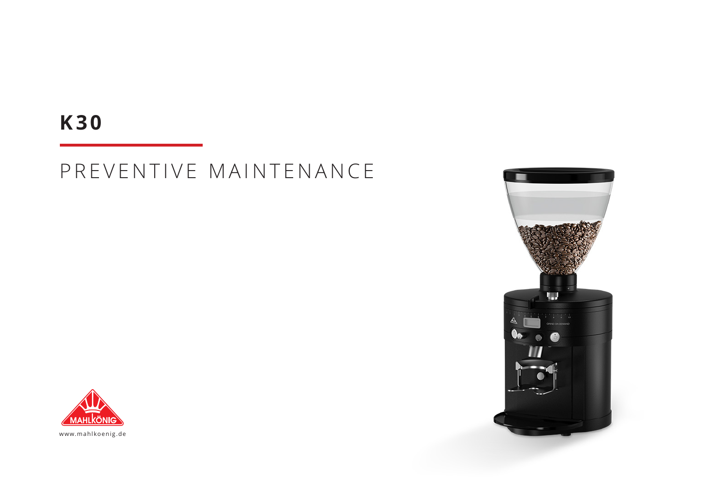## **K30**

# PREVENTIVE MAINTENANCE





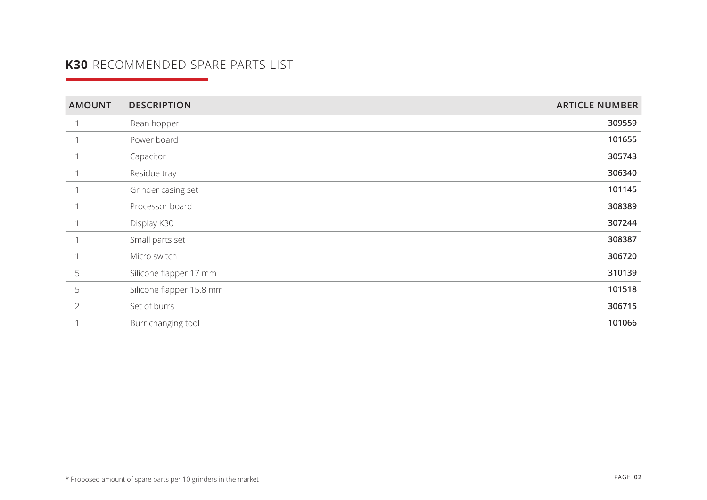### **K30** RECOMMENDED SPARE PARTS LIST

| <b>AMOUNT</b>  | <b>DESCRIPTION</b>       | <b>ARTICLE NUMBER</b> |
|----------------|--------------------------|-----------------------|
|                | Bean hopper              | 309559                |
|                | Power board              | 101655                |
|                | Capacitor                | 305743                |
|                | Residue tray             | 306340                |
|                | Grinder casing set       | 101145                |
|                | Processor board          | 308389                |
|                | Display K30              | 307244                |
|                | Small parts set          | 308387                |
|                | Micro switch             | 306720                |
| 5              | Silicone flapper 17 mm   | 310139                |
| 5              | Silicone flapper 15.8 mm | 101518                |
| $\overline{2}$ | Set of burrs             | 306715                |
|                | Burr changing tool       | 101066                |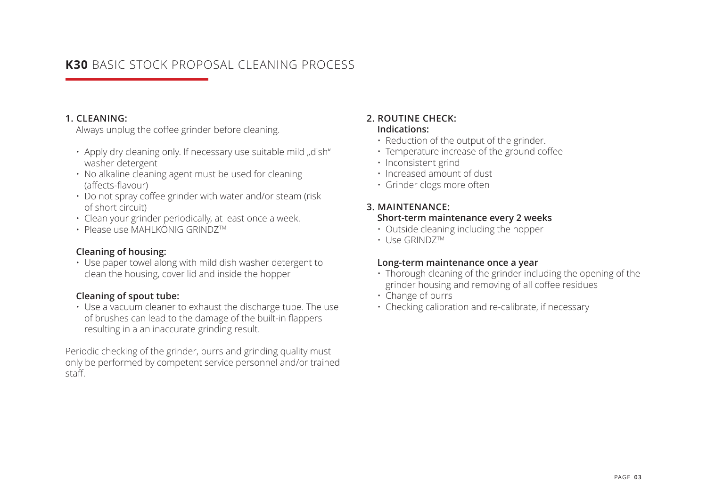### **K30** BASIC STOCK PROPOSAL CLEANING PROCESS

#### **1. CLEANING:**

Always unplug the coffee grinder before cleaning.

- $\cdot$  Apply dry cleaning only. If necessary use suitable mild "dish" washer detergent
- No alkaline cleaning agent must be used for cleaning (affects-flavour)
- Do not spray coffee grinder with water and/or steam (risk of short circuit)
- Clean your grinder periodically, at least once a week.
- Please use MAHLKÖNIG GRINDZTM

#### **Cleaning of housing:**

• Use paper towel along with mild dish washer detergent to clean the housing, cover lid and inside the hopper

#### **Cleaning of spout tube:**

• Use a vacuum cleaner to exhaust the discharge tube. The use of brushes can lead to the damage of the built-in flappers resulting in a an inaccurate grinding result.

Periodic checking of the grinder, burrs and grinding quality must only be performed by competent service personnel and/or trained staff.

#### **2. ROUTINE CHECK: Indications:**

#### • Reduction of the output of the grinder.

- Temperature increase of the ground coffee
- Inconsistent grind
- Increased amount of dust
- Grinder clogs more often

#### **3. MAINTENANCE:**

#### **Short-term maintenance every 2 weeks**

- Outside cleaning including the hopper
- Use GRINDZTM

#### **Long-term maintenance once a year**

- Thorough cleaning of the grinder including the opening of the grinder housing and removing of all coffee residues
- Change of burrs
- Checking calibration and re-calibrate, if necessary